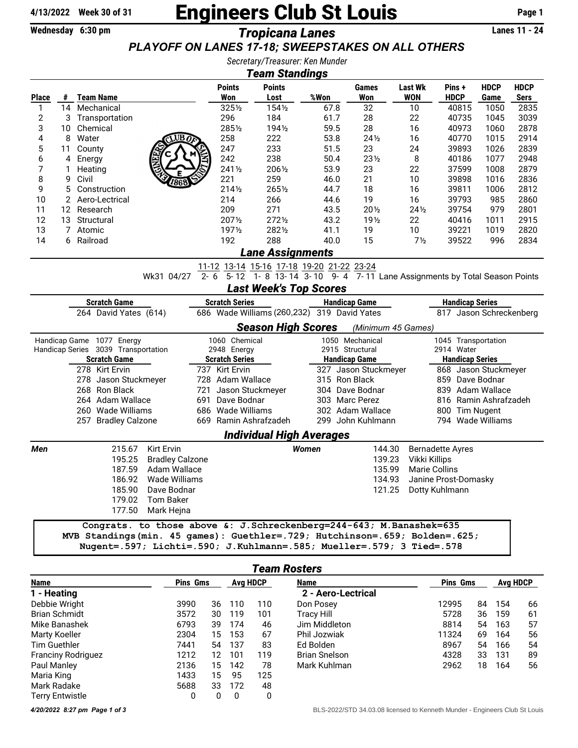## 4/13/2022 Week 30 of 31 **Engineers Club St Louis** Page 1

## Wednesday 6:30 pm *Tropicana Lanes* Lanes 11 - 24 *\*\*\* Have FUN! No points awarded this week! \*\*\* PLAYOFF ON LANES 17-18; SWEEPSTAKES ON ALL OTHERS*

*Secretary/Treasurer: Ken Munder*

| <b>Team Standings</b>                                                                                                                                                                           |                                                                                                                                                    |                             |                        |                       |                                 |                      |                       |                              |                         |                     |                            |  |  |
|-------------------------------------------------------------------------------------------------------------------------------------------------------------------------------------------------|----------------------------------------------------------------------------------------------------------------------------------------------------|-----------------------------|------------------------|-----------------------|---------------------------------|----------------------|-----------------------|------------------------------|-------------------------|---------------------|----------------------------|--|--|
| <b>Place</b>                                                                                                                                                                                    | #                                                                                                                                                  | <b>Team Name</b>            |                        | <b>Points</b><br>Won  | <b>Points</b><br>Lost           | %Won                 | <b>Games</b><br>Won   | <b>Last Wk</b><br><b>WON</b> | Pins+<br><b>HDCP</b>    | <b>HDCP</b><br>Game | <b>HDCP</b><br><b>Sers</b> |  |  |
| 1                                                                                                                                                                                               |                                                                                                                                                    | 14 Mechanical               |                        | 3251/2                | 1541/2                          | 67.8                 | 32                    | 10                           | 40815                   | 1050                | 2835                       |  |  |
| 2                                                                                                                                                                                               | 3                                                                                                                                                  | Transportation              |                        | 296                   | 184                             | 61.7                 | 28                    | 22                           | 40735                   | 1045                | 3039                       |  |  |
| 3                                                                                                                                                                                               | 10                                                                                                                                                 | Chemical                    |                        | 2851/2                | 1941/2                          | 59.5                 | 28                    | 16                           | 40973                   | 1060                | 2878                       |  |  |
| 4                                                                                                                                                                                               | 8                                                                                                                                                  | Water                       | UBB                    | 258                   | 222                             | 53.8                 | $24\frac{1}{2}$       | 16                           | 40770                   | 1015                | 2914                       |  |  |
| 5                                                                                                                                                                                               | 11                                                                                                                                                 | County                      |                        | 247                   | 233                             | 51.5                 | 23                    | 24                           | 39893                   | 1026                | 2839                       |  |  |
| 6                                                                                                                                                                                               | 4                                                                                                                                                  | Energy                      |                        | 242                   | 238                             | 50.4                 | $23\frac{1}{2}$       | 8                            | 40186                   | 1077                | 2948                       |  |  |
| 7                                                                                                                                                                                               | 1                                                                                                                                                  | Heating                     |                        | 2411/2                | 2061/2                          | 53.9                 | 23                    | 22                           | 37599                   | 1008                | 2879                       |  |  |
| 8                                                                                                                                                                                               | 9                                                                                                                                                  | Civil                       |                        | 221                   | 259                             | 46.0                 | 21                    | 10                           | 39898                   | 1016                | 2836                       |  |  |
| 9                                                                                                                                                                                               | 5                                                                                                                                                  | Construction                |                        | $214\frac{1}{2}$      | 2651/2                          | 44.7                 | 18                    | 16                           | 39811                   | 1006                | 2812                       |  |  |
| 10                                                                                                                                                                                              | 2                                                                                                                                                  | Aero-Lectrical              |                        | 214                   | 266                             | 44.6                 | 19                    | 16                           | 39793                   | 985                 | 2860                       |  |  |
| 11                                                                                                                                                                                              |                                                                                                                                                    | 12 Research                 |                        | 209                   | 271                             | 43.5                 | 201/2                 | $24\frac{1}{2}$              | 39754                   | 979                 | 2801                       |  |  |
| 12                                                                                                                                                                                              | 13                                                                                                                                                 |                             |                        | 2071/2                | 2721/2                          |                      |                       |                              |                         |                     | 2915                       |  |  |
| 13                                                                                                                                                                                              |                                                                                                                                                    | Structural                  |                        | 1971/2                | 2821/2                          | 43.2                 | 19 <sub>2</sub><br>19 | 22                           | 40416<br>39221          | 1011                | 2820                       |  |  |
| 14                                                                                                                                                                                              |                                                                                                                                                    | 7 Atomic                    |                        |                       | 288                             | 41.1<br>40.0         | 15                    | 10                           | 39522                   | 1019                | 2834                       |  |  |
|                                                                                                                                                                                                 |                                                                                                                                                    | 6 Railroad                  |                        | 192                   |                                 |                      |                       | $7\frac{1}{2}$               |                         | 996                 |                            |  |  |
|                                                                                                                                                                                                 | <b>Lane Assignments</b>                                                                                                                            |                             |                        |                       |                                 |                      |                       |                              |                         |                     |                            |  |  |
| 11-12 13-14 15-16 17-18 19-20 21-22 23-24<br>$\overline{5.12}$ $\overline{1.8}$ $\overline{13.14}$ $\overline{3.10}$ $\overline{9.4}$ $\overline{7.11}$ Lane Assignments by Total Season Points |                                                                                                                                                    |                             |                        |                       |                                 |                      |                       |                              |                         |                     |                            |  |  |
|                                                                                                                                                                                                 |                                                                                                                                                    | Wk31 04/27                  | $2 - 6$                |                       |                                 |                      |                       |                              |                         |                     |                            |  |  |
|                                                                                                                                                                                                 |                                                                                                                                                    |                             |                        |                       | <b>Last Week's Top Scores</b>   |                      |                       |                              |                         |                     |                            |  |  |
| <b>Scratch Game</b><br><b>Scratch Series</b><br><b>Handicap Game</b><br><b>Handicap Series</b><br>686 Wade Williams (260,232) 319 David Yates<br>817 Jason Schreckenberg                        |                                                                                                                                                    |                             |                        |                       |                                 |                      |                       |                              |                         |                     |                            |  |  |
|                                                                                                                                                                                                 |                                                                                                                                                    | 264 David Yates (614)       |                        |                       |                                 |                      |                       |                              |                         |                     |                            |  |  |
|                                                                                                                                                                                                 |                                                                                                                                                    |                             |                        |                       | <b>Season High Scores</b>       |                      | (Minimum 45 Games)    |                              |                         |                     |                            |  |  |
|                                                                                                                                                                                                 |                                                                                                                                                    | Handicap Game 1077 Energy   |                        | 1060 Chemical         |                                 |                      | 1050 Mechanical       |                              | 1045 Transportation     |                     |                            |  |  |
| Handicap Series 3039 Transportation                                                                                                                                                             |                                                                                                                                                    |                             |                        | 2948 Energy           |                                 |                      | 2915 Structural       |                              | 2914 Water              |                     |                            |  |  |
| <b>Scratch Game</b>                                                                                                                                                                             |                                                                                                                                                    |                             |                        | <b>Scratch Series</b> |                                 |                      | <b>Handicap Game</b>  |                              | <b>Handicap Series</b>  |                     |                            |  |  |
| 278 Kirt Ervin                                                                                                                                                                                  |                                                                                                                                                    |                             | 737 Kirt Ervin         |                       |                                 | 327 Jason Stuckmeyer |                       |                              | 868 Jason Stuckmeyer    |                     |                            |  |  |
| 278 Jason Stuckmeyer                                                                                                                                                                            |                                                                                                                                                    |                             | 728 Adam Wallace       |                       |                                 | 315 Ron Black        |                       | 859 Dave Bodnar              |                         |                     |                            |  |  |
| 268 Ron Black                                                                                                                                                                                   |                                                                                                                                                    |                             |                        | 721 Jason Stuckmeyer  |                                 | 304 Dave Bodnar      |                       | 839 Adam Wallace             |                         |                     |                            |  |  |
| 264 Adam Wallace                                                                                                                                                                                |                                                                                                                                                    |                             | 691 Dave Bodnar        |                       |                                 | 303 Marc Perez       |                       | 816 Ramin Ashrafzadeh        |                         |                     |                            |  |  |
|                                                                                                                                                                                                 |                                                                                                                                                    | 260 Wade Williams           |                        | 686 Wade Williams     |                                 |                      | 302 Adam Wallace      |                              | 800 Tim Nugent          |                     |                            |  |  |
|                                                                                                                                                                                                 |                                                                                                                                                    | 257 Bradley Calzone         |                        |                       | 669 Ramin Ashrafzadeh           |                      | 299 John Kuhlmann     |                              | 794 Wade Williams       |                     |                            |  |  |
|                                                                                                                                                                                                 |                                                                                                                                                    |                             |                        |                       | <b>Individual High Averages</b> |                      |                       |                              |                         |                     |                            |  |  |
| Men                                                                                                                                                                                             |                                                                                                                                                    | 215.67<br><b>Kirt Ervin</b> |                        |                       |                                 | <b>Women</b>         | 144.30                |                              | <b>Bernadette Ayres</b> |                     |                            |  |  |
|                                                                                                                                                                                                 |                                                                                                                                                    | 195.25                      | <b>Bradley Calzone</b> |                       |                                 |                      | 139.23                | Vikki Killips                |                         |                     |                            |  |  |
|                                                                                                                                                                                                 |                                                                                                                                                    | 187.59                      | Adam Wallace           |                       |                                 |                      | 135.99                |                              | <b>Marie Collins</b>    |                     |                            |  |  |
|                                                                                                                                                                                                 |                                                                                                                                                    | 186.92                      | Wade Williams          |                       |                                 |                      | 134.93                |                              | Janine Prost-Domasky    |                     |                            |  |  |
|                                                                                                                                                                                                 |                                                                                                                                                    | 185.90<br>Dave Bodnar       |                        |                       |                                 |                      | 121.25                |                              | Dotty Kuhlmann          |                     |                            |  |  |
|                                                                                                                                                                                                 |                                                                                                                                                    | 179.02<br><b>Tom Baker</b>  |                        |                       |                                 |                      |                       |                              |                         |                     |                            |  |  |
|                                                                                                                                                                                                 |                                                                                                                                                    | 177.50<br>Mark Hejna        |                        |                       |                                 |                      |                       |                              |                         |                     |                            |  |  |
|                                                                                                                                                                                                 |                                                                                                                                                    |                             |                        |                       |                                 |                      |                       |                              |                         |                     |                            |  |  |
|                                                                                                                                                                                                 | Congrats. to those above &: J.Schreckenberg=244-643; M.Banashek=635<br>MVB Standings (min. 45 games): Guethler=.729; Hutchinson=.659; Bolden=.625; |                             |                        |                       |                                 |                      |                       |                              |                         |                     |                            |  |  |

Nugent=.597; Lichti=.590; J.Kuhlmann=.585; Mueller=.579; 3 Tied=.578

| <b>Team Rosters</b>       |                 |    |                 |     |                      |                 |    |                 |    |  |
|---------------------------|-----------------|----|-----------------|-----|----------------------|-----------------|----|-----------------|----|--|
| Name                      | <b>Pins Gms</b> |    | <b>Avg HDCP</b> |     | Name                 | <b>Pins Gms</b> |    | <b>Avg HDCP</b> |    |  |
| 1 - Heating               |                 |    |                 |     | 2 - Aero-Lectrical   |                 |    |                 |    |  |
| Debbie Wright             | 3990            | 36 | 110             | 110 | Don Posey            | 12995           | 84 | 154             | 66 |  |
| <b>Brian Schmidt</b>      | 3572            | 30 | 119             | 101 | <b>Tracy Hill</b>    | 5728            | 36 | 159             | 61 |  |
| Mike Banashek             | 6793            | 39 | 174             | 46  | Jim Middleton        | 8814            | 54 | 163             | 57 |  |
| Marty Koeller             | 2304            | 15 | 153             | 67  | Phil Jozwiak         | 11324           | 69 | 164             | 56 |  |
| <b>Tim Guethler</b>       | 7441            | 54 | 137             | 83  | Ed Bolden            | 8967            | 54 | 166             | 54 |  |
| <b>Franciny Rodriguez</b> | 1212            | 12 | 101             | 119 | <b>Brian Snelson</b> | 4328            | 33 | 131             | 89 |  |
| Paul Manley               | 2136            | 15 | 142             | 78  | Mark Kuhlman         | 2962            | 18 | 164             | 56 |  |
| Maria King                | 1433            | 15 | 95              | 125 |                      |                 |    |                 |    |  |
| Mark Radake               | 5688            | 33 | 172             | 48  |                      |                 |    |                 |    |  |
| <b>Terry Entwistle</b>    | 0               | 0  | 0               | 0   |                      |                 |    |                 |    |  |